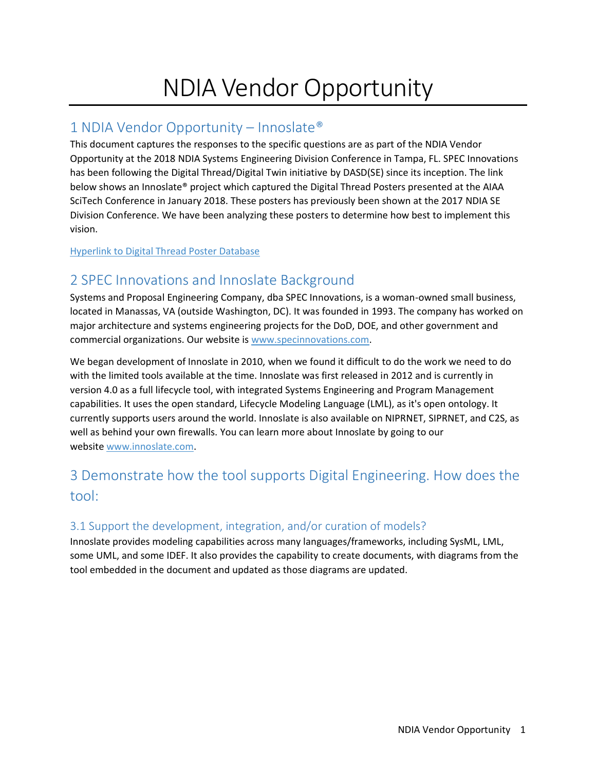# NDIA Vendor Opportunity

# 1 NDIA Vendor Opportunity – Innoslate®

This document captures the responses to the specific questions are as part of the NDIA Vendor Opportunity at the 2018 NDIA Systems Engineering Division Conference in Tampa, FL. SPEC Innovations has been following the Digital Thread/Digital Twin initiative by DASD(SE) since its inception. The link below shows an Innoslate® project which captured the Digital Thread Posters presented at the AIAA SciTech Conference in January 2018. These posters has previously been shown at the 2017 NDIA SE Division Conference. We have been analyzing these posters to determine how best to implement this vision.

#### Hyperlink to Digital Thread Poster Database

# 2 SPEC Innovations and Innoslate Background

Systems and Proposal Engineering Company, dba SPEC Innovations, is a woman-owned small business, located in Manassas, VA (outside Washington, DC). It was founded in 1993. The company has worked on major architecture and systems engineering projects for the DoD, DOE, and other government and commercial organizations. Our website is [www.specinnovations.com.](https://www.specinnovations.com/)

We began development of Innoslate in 2010, when we found it difficult to do the work we need to do with the limited tools available at the time. Innoslate was first released in 2012 and is currently in version 4.0 as a full lifecycle tool, with integrated Systems Engineering and Program Management capabilities. It uses the open standard, Lifecycle Modeling Language (LML), as it's open ontology. It currently supports users around the world. Innoslate is also available on NIPRNET, SIPRNET, and C2S, as well as behind your own firewalls. You can learn more about Innoslate by going to our website [www.innoslate.com.](https://www.innoslate.com/)

# 3 Demonstrate how the tool supports Digital Engineering. How does the tool:

#### 3.1 Support the development, integration, and/or curation of models?

Innoslate provides modeling capabilities across many languages/frameworks, including SysML, LML, some UML, and some IDEF. It also provides the capability to create documents, with diagrams from the tool embedded in the document and updated as those diagrams are updated.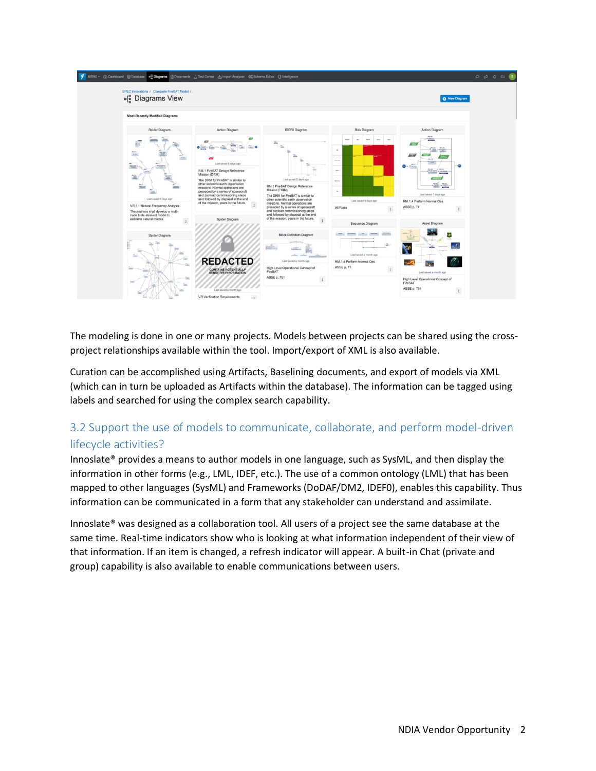

The modeling is done in one or many projects. Models between projects can be shared using the crossproject relationships available within the tool. Import/export of XML is also available.

Curation can be accomplished using Artifacts, Baselining documents, and export of models via XML (which can in turn be uploaded as Artifacts within the database). The information can be tagged using labels and searched for using the complex search capability.

# 3.2 Support the use of models to communicate, collaborate, and perform model-driven lifecycle activities?

Innoslate® provides a means to author models in one language, such as SysML, and then display the information in other forms (e.g., LML, IDEF, etc.). The use of a common ontology (LML) that has been mapped to other languages (SysML) and Frameworks (DoDAF/DM2, IDEF0), enables this capability. Thus information can be communicated in a form that any stakeholder can understand and assimilate.

Innoslate® was designed as a collaboration tool. All users of a project see the same database at the same time. Real-time indicators show who is looking at what information independent of their view of that information. If an item is changed, a refresh indicator will appear. A built-in Chat (private and group) capability is also available to enable communications between users.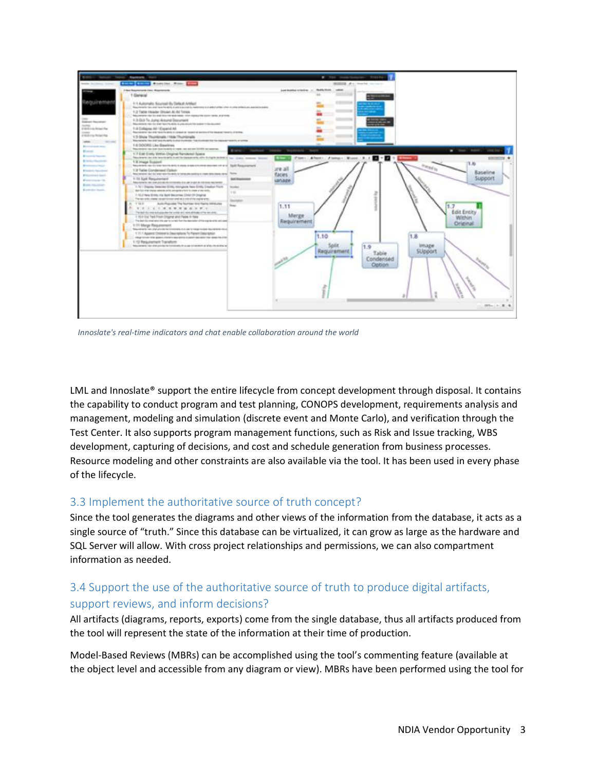

*Innoslate's real-time indicators and chat enable collaboration around the world* 

LML and Innoslate® support the entire lifecycle from concept development through disposal. It contains the capability to conduct program and test planning, CONOPS development, requirements analysis and management, modeling and simulation (discrete event and Monte Carlo), and verification through the Test Center. It also supports program management functions, such as Risk and Issue tracking, WBS development, capturing of decisions, and cost and schedule generation from business processes. Resource modeling and other constraints are also available via the tool. It has been used in every phase of the lifecycle.

#### 3.3 Implement the authoritative source of truth concept?

Since the tool generates the diagrams and other views of the information from the database, it acts as a single source of "truth." Since this database can be virtualized, it can grow as large as the hardware and SQL Server will allow. With cross project relationships and permissions, we can also compartment information as needed.

#### 3.4 Support the use of the authoritative source of truth to produce digital artifacts, support reviews, and inform decisions?

All artifacts (diagrams, reports, exports) come from the single database, thus all artifacts produced from the tool will represent the state of the information at their time of production.

Model-Based Reviews (MBRs) can be accomplished using the tool's commenting feature (available at the object level and accessible from any diagram or view). MBRs have been performed using the tool for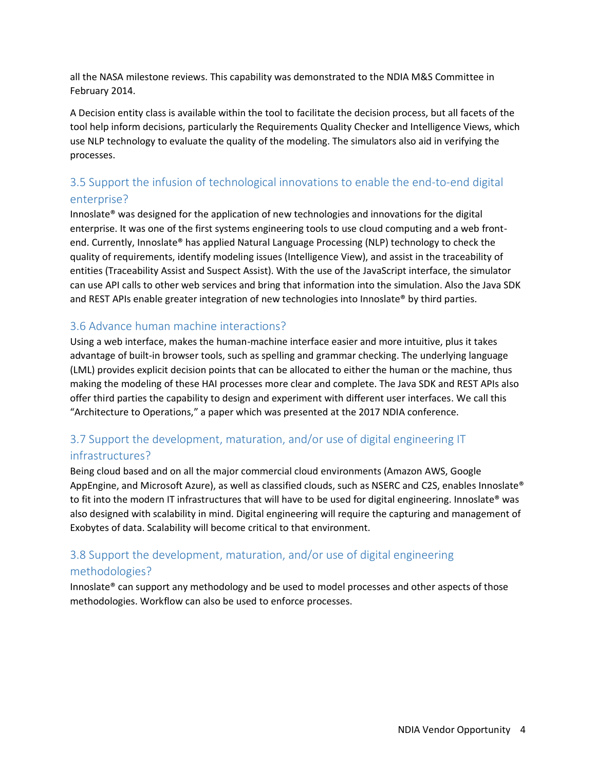all the NASA milestone reviews. This capability was demonstrated to the NDIA M&S Committee in February 2014.

A Decision entity class is available within the tool to facilitate the decision process, but all facets of the tool help inform decisions, particularly the Requirements Quality Checker and Intelligence Views, which use NLP technology to evaluate the quality of the modeling. The simulators also aid in verifying the processes.

# 3.5 Support the infusion of technological innovations to enable the end-to-end digital enterprise?

Innoslate® was designed for the application of new technologies and innovations for the digital enterprise. It was one of the first systems engineering tools to use cloud computing and a web frontend. Currently, Innoslate® has applied Natural Language Processing (NLP) technology to check the quality of requirements, identify modeling issues (Intelligence View), and assist in the traceability of entities (Traceability Assist and Suspect Assist). With the use of the JavaScript interface, the simulator can use API calls to other web services and bring that information into the simulation. Also the Java SDK and REST APIs enable greater integration of new technologies into Innoslate® by third parties.

#### 3.6 Advance human machine interactions?

Using a web interface, makes the human-machine interface easier and more intuitive, plus it takes advantage of built-in browser tools, such as spelling and grammar checking. The underlying language (LML) provides explicit decision points that can be allocated to either the human or the machine, thus making the modeling of these HAI processes more clear and complete. The Java SDK and REST APIs also offer third parties the capability to design and experiment with different user interfaces. We call this "Architecture to Operations," a paper which was presented at the 2017 NDIA conference.

# 3.7 Support the development, maturation, and/or use of digital engineering IT infrastructures?

Being cloud based and on all the major commercial cloud environments (Amazon AWS, Google AppEngine, and Microsoft Azure), as well as classified clouds, such as NSERC and C2S, enables Innoslate® to fit into the modern IT infrastructures that will have to be used for digital engineering. Innoslate® was also designed with scalability in mind. Digital engineering will require the capturing and management of Exobytes of data. Scalability will become critical to that environment.

# 3.8 Support the development, maturation, and/or use of digital engineering methodologies?

Innoslate® can support any methodology and be used to model processes and other aspects of those methodologies. Workflow can also be used to enforce processes.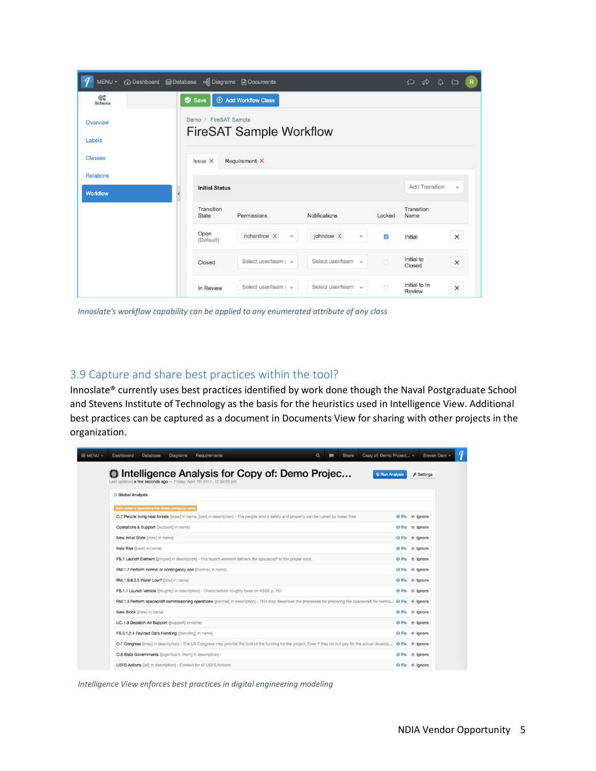| ① Dashboard 日 Database<br><sub>[1]</sub> Diagrams 日 Documents<br>MENU - |                            |                                          |                                       |        | $\circ$ $\circ$<br>$\Delta$    | R<br>$\Box$              |
|-------------------------------------------------------------------------|----------------------------|------------------------------------------|---------------------------------------|--------|--------------------------------|--------------------------|
| කිදී<br>Schema                                                          | Save                       | <b>4</b> Add Workflow Class              |                                       |        |                                |                          |
| Overview                                                                | Demo / FireSAT Sample      | <b>FireSAT Sample Workflow</b>           |                                       |        |                                |                          |
| Labels                                                                  |                            |                                          |                                       |        |                                |                          |
| <b>Classes</b>                                                          | $lssue$ $\times$           | Requirement X                            |                                       |        |                                |                          |
| <b>Relations</b>                                                        | <b>Initial Status</b>      |                                          |                                       |        | <b>Add Transition</b>          | $\overline{\phantom{a}}$ |
| <b>Workflow</b>                                                         |                            |                                          |                                       |        |                                |                          |
|                                                                         | Transition<br><b>State</b> | Permissions                              | Notifications                         | Locked | Transition<br>Name             |                          |
|                                                                         | Open<br>(Default)          | richardroe X<br>$\overline{\phantom{a}}$ | johndoe X<br>$\overline{\phantom{a}}$ | Ø      | Initial                        | $\times$                 |
|                                                                         | Closed                     | Select user/team ( -                     | Select user/team $\rightarrow$        | $\Box$ | Initial to<br>Closed           | X                        |
|                                                                         | In Review                  | Select user/team ( -                     | Select user/team                      | $\Box$ | Initial to In<br><b>Review</b> | ×                        |

 *Innoslate's workflow capability can be applied to any enumerated attribute of any class* 

#### 3.9 Capture and share best practices within the tool?

Innoslate® currently uses best practices identified by work done though the Naval Postgraduate School and Stevens Institute of Technology as the basis for the heuristics used in Intelligence View. Additional best practices can be captured as a document in Documents View for sharing with other projects in the organization.

| $\equiv$ MENU - | Copy of: Demo Project -<br>$\alpha$<br>Dashboard<br>Database<br>Diagrams<br>Requirements<br>Share                                                                             | Steven Dam -                               |
|-----------------|-------------------------------------------------------------------------------------------------------------------------------------------------------------------------------|--------------------------------------------|
|                 | Intelligence Analysis for Copy of: Demo Projec<br><b>C Run Analysis</b><br>Last updated a few seconds ago - Friday, April 7th 2017, 12:38:26 pm                               | $\blacktriangleright$ Settings             |
|                 | Global Analysis                                                                                                                                                               |                                            |
|                 | intity names or descriptions that contain ambiguous words                                                                                                                     |                                            |
|                 | O.7 People living near forests ([near] in name, [can] in description) - The people who's safety and property can be ruined by forest fires                                    | ⊙ Fix <i>&lt;&gt;</i> Ignore               |
|                 | Operations & Support ([support] in name)                                                                                                                                      | ⊙ Fix <i><br< i=""> // Ignore</br<></i>    |
|                 | New Initial State ([new] in name)                                                                                                                                             | ⊙ Fix < Ignore                             |
|                 | New Risk ([new] in name)                                                                                                                                                      | ⊙ Fix <i><br< i=""> /anore</br<></i>       |
|                 | FS.1 Launch Element ([proper] in description) - The launch element delivers the spacecraft to the proper orbit.                                                               | ⊙ Fix <b><i>n</i></b> Ignore               |
|                 | RM.1.7 Perform normal or contingency ops ([normal] in name)                                                                                                                   | ⊙ Fix <i>&lt;&gt;</i> Ignore               |
|                 | RM.1.9.9.3.5 Water Low? ([low] in name)                                                                                                                                       | ⊙ Fix <i>&lt;&gt;</i> Ignore               |
|                 | FS.1.1 Launch Vehicle ([roughly] in description) - Characteristic roughly base on ASSE p. 761                                                                                 | ⊙ Fix <i><br< i=""> /anore</br<></i>       |
|                 | RM.1.3 Perform spacecraft commissioning operations (inormal) in description) - This step describes the processes for preparing the spacecraft for norma @ Fix $\phi$ Ignore   |                                            |
|                 | New Block ([new] in name)                                                                                                                                                     | ⊙ Fix < Ignore                             |
|                 | UC.1.3 Dispatch Air Support ([support] in name)                                                                                                                               | ⊙ Fix <i><br< i=""> /anore</br<></i>       |
|                 | FS.3.1.2.4 Payload Data Handling ([handling] in name)                                                                                                                         | ⊙ Fix <i><br< i=""> /&gt; lgnore</br<></i> |
|                 | O.1 Congress (imay) in description) - The US Congress may provide the bulk of the funding for the project. Even if they do not pay for the actual develop ⊙ Fix $\Phi$ Ignore |                                            |
|                 | O.8 State Governments ([significant, them] in description) -                                                                                                                  | ⊙ Fix <i><br< i=""> /s/ignore</br<></i>    |
|                 | <b>USFS Actions</b> ([all] in description) - Context for all USFS Actions                                                                                                     | ⊙ Fix <i>&lt;&gt;</i> Ignore               |

 *Intelligence View enforces best practices in digital engineering modeling*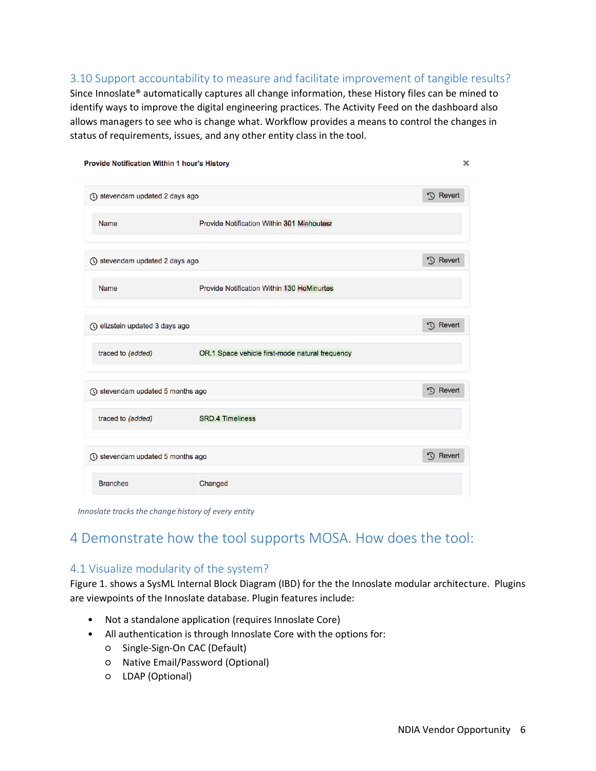#### 3.10 Support accountability to measure and facilitate improvement of tangible results?

Since Innoslate® automatically captures all change information, these History files can be mined to identify ways to improve the digital engineering practices. The Activity Feed on the dashboard also allows managers to see who is change what. Workflow provides a means to control the changes in status of requirements, issues, and any other entity class in the tool.

| Provide Notification Within 1 hour's History |                                                 | $\boldsymbol{\times}$ |
|----------------------------------------------|-------------------------------------------------|-----------------------|
| (t) stevendam updated 2 days ago             |                                                 | <b>D</b> Revert       |
| <b>Name</b>                                  | Provide Notification Within 301 Minhoutesr      |                       |
| ① stevendam updated 2 days ago               |                                                 | <b>D</b> Revert       |
| <b>Name</b>                                  | Provide Notification Within 430 HeMinurtes      |                       |
| (t) elizstein updated 3 days ago             |                                                 | <sup>5</sup> Revert   |
| traced to (added)                            | OR.1 Space vehicle first-mode natural frequency |                       |
| ① stevendam updated 5 months ago             |                                                 | <b>D</b> Revert       |
| traced to (added)                            | <b>SRD.4 Timeliness</b>                         |                       |
| ① stevendam updated 5 months ago             |                                                 | <b>D</b> Revert       |
| <b>Branches</b>                              | Changed                                         |                       |

 *Innoslate tracks the change history of every entity* 

# 4 Demonstrate how the tool supports MOSA. How does the tool:

#### 4.1 Visualize modularity of the system?

Figure 1. shows a SysML Internal Block Diagram (IBD) for the the Innoslate modular architecture. Plugins are viewpoints of the Innoslate database. Plugin features include:

- Not a standalone application (requires Innoslate Core)
- All authentication is through Innoslate Core with the options for:
	- Single-Sign-On CAC (Default)
	- Native Email/Password (Optional)
	- LDAP (Optional)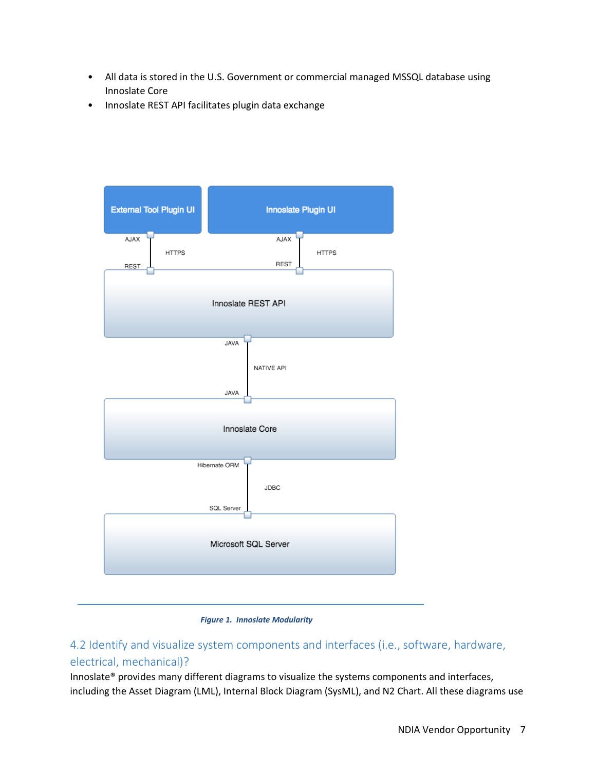- All data is stored in the U.S. Government or commercial managed MSSQL database using Innoslate Core
- Innoslate REST API facilitates plugin data exchange



 *Figure 1. Innoslate Modularity* 

# 4.2 Identify and visualize system components and interfaces (i.e., software, hardware, electrical, mechanical)?

Innoslate® provides many different diagrams to visualize the systems components and interfaces, including the Asset Diagram (LML), Internal Block Diagram (SysML), and N2 Chart. All these diagrams use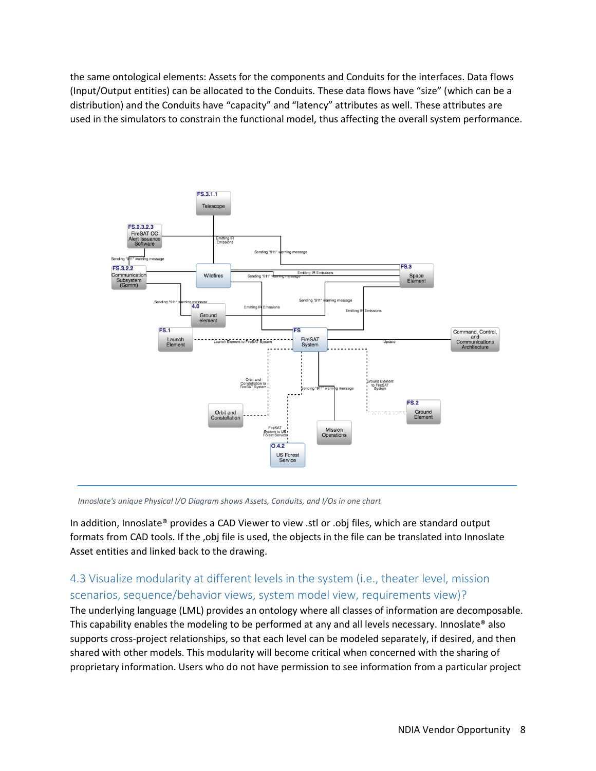the same ontological elements: Assets for the components and Conduits for the interfaces. Data flows (Input/Output entities) can be allocated to the Conduits. These data flows have "size" (which can be a distribution) and the Conduits have "capacity" and "latency" attributes as well. These attributes are used in the simulators to constrain the functional model, thus affecting the overall system performance.



 *Innoslate's unique Physical I/O Diagram shows Assets, Conduits, and I/Os in one chart* 

In addition, Innoslate® provides a CAD Viewer to view .stl or .obj files, which are standard output formats from CAD tools. If the ,obj file is used, the objects in the file can be translated into Innoslate Asset entities and linked back to the drawing.

#### 4.3 Visualize modularity at different levels in the system (i.e., theater level, mission scenarios, sequence/behavior views, system model view, requirements view)?

The underlying language (LML) provides an ontology where all classes of information are decomposable. This capability enables the modeling to be performed at any and all levels necessary. Innoslate® also supports cross-project relationships, so that each level can be modeled separately, if desired, and then shared with other models. This modularity will become critical when concerned with the sharing of proprietary information. Users who do not have permission to see information from a particular project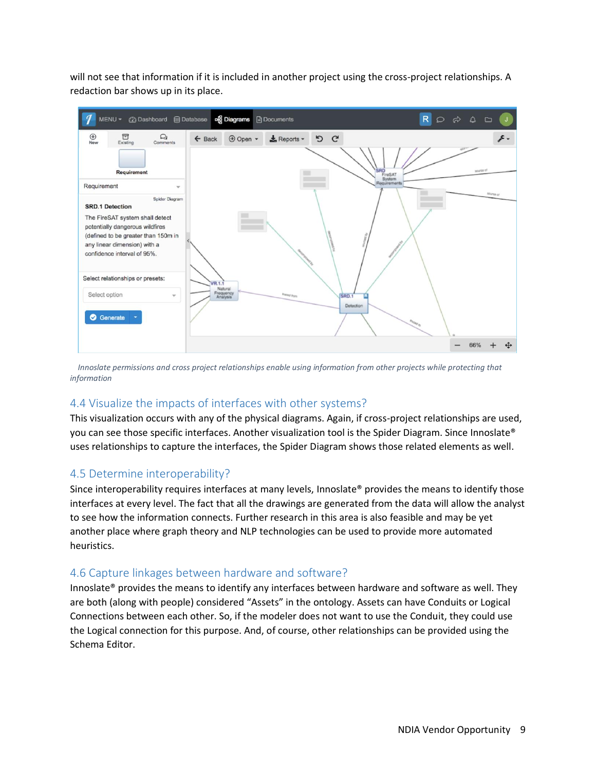will not see that information if it is included in another project using the cross-project relationships. A redaction bar shows up in its place.



 *Innoslate permissions and cross project relationships enable using information from other projects while protecting that information* 

#### 4.4 Visualize the impacts of interfaces with other systems?

This visualization occurs with any of the physical diagrams. Again, if cross-project relationships are used, you can see those specific interfaces. Another visualization tool is the Spider Diagram. Since Innoslate® uses relationships to capture the interfaces, the Spider Diagram shows those related elements as well.

#### 4.5 Determine interoperability?

Since interoperability requires interfaces at many levels, Innoslate® provides the means to identify those interfaces at every level. The fact that all the drawings are generated from the data will allow the analyst to see how the information connects. Further research in this area is also feasible and may be yet another place where graph theory and NLP technologies can be used to provide more automated heuristics.

#### 4.6 Capture linkages between hardware and software?

Innoslate® provides the means to identify any interfaces between hardware and software as well. They are both (along with people) considered "Assets" in the ontology. Assets can have Conduits or Logical Connections between each other. So, if the modeler does not want to use the Conduit, they could use the Logical connection for this purpose. And, of course, other relationships can be provided using the Schema Editor.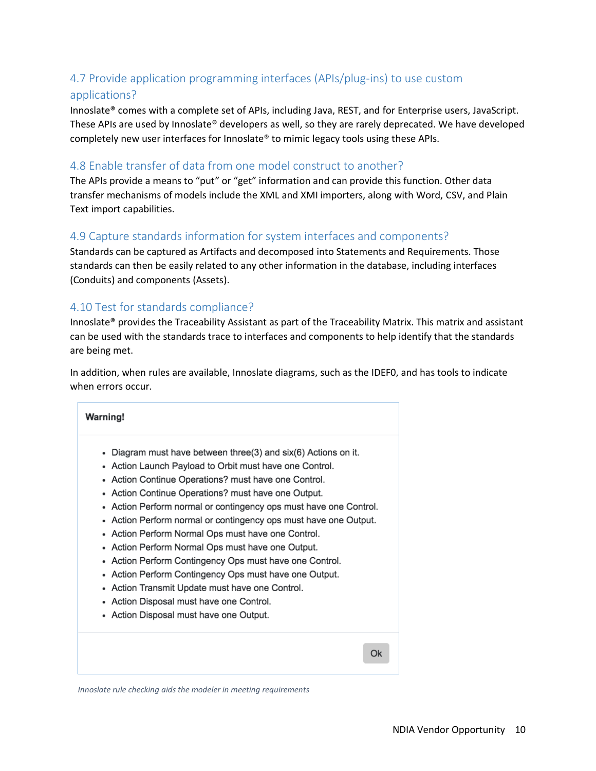#### 4.7 Provide application programming interfaces (APIs/plug-ins) to use custom applications?

Innoslate® comes with a complete set of APIs, including Java, REST, and for Enterprise users, JavaScript. These APIs are used by Innoslate® developers as well, so they are rarely deprecated. We have developed completely new user interfaces for Innoslate® to mimic legacy tools using these APIs.

#### 4.8 Enable transfer of data from one model construct to another?

The APIs provide a means to "put" or "get" information and can provide this function. Other data transfer mechanisms of models include the XML and XMI importers, along with Word, CSV, and Plain Text import capabilities.

#### 4.9 Capture standards information for system interfaces and components?

Standards can be captured as Artifacts and decomposed into Statements and Requirements. Those standards can then be easily related to any other information in the database, including interfaces (Conduits) and components (Assets).

#### 4.10 Test for standards compliance?

Innoslate® provides the Traceability Assistant as part of the Traceability Matrix. This matrix and assistant can be used with the standards trace to interfaces and components to help identify that the standards are being met.

In addition, when rules are available, Innoslate diagrams, such as the IDEF0, and has tools to indicate when errors occur.

| <b>Warning!</b>                                                   |
|-------------------------------------------------------------------|
| • Diagram must have between three(3) and six(6) Actions on it.    |
| • Action Launch Payload to Orbit must have one Control.           |
| • Action Continue Operations? must have one Control.              |
| • Action Continue Operations? must have one Output.               |
| • Action Perform normal or contingency ops must have one Control. |
| • Action Perform normal or contingency ops must have one Output.  |
| • Action Perform Normal Ops must have one Control.                |
| • Action Perform Normal Ops must have one Output.                 |
| Action Perform Contingency Ops must have one Control.<br>٠        |
| • Action Perform Contingency Ops must have one Output.            |
| • Action Transmit Update must have one Control.                   |
| • Action Disposal must have one Control.                          |
| • Action Disposal must have one Output.                           |

 *Innoslate rule checking aids the modeler in meeting requirements*